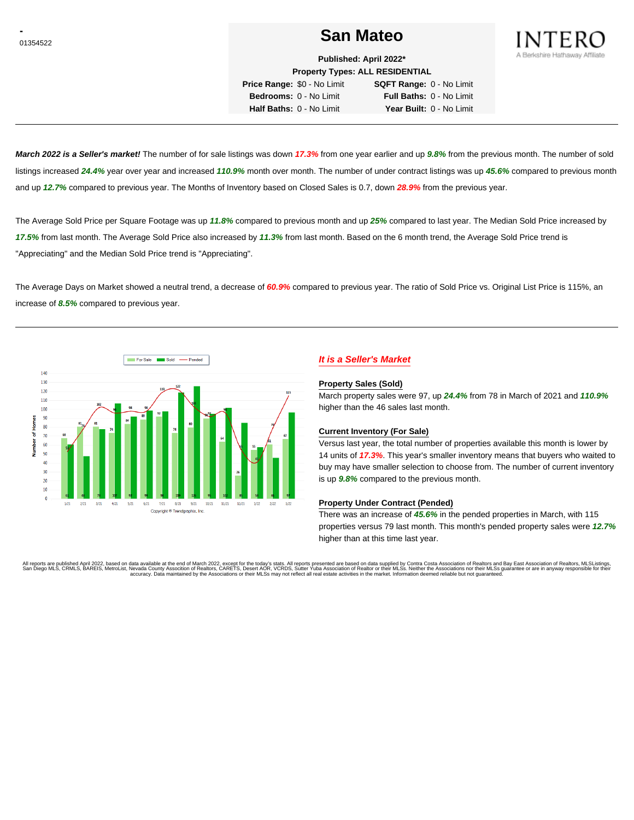# **Construction Contract of the San Mateo San Mateo**



**Published: April 2022\* Property Types: ALL RESIDENTIAL**

**Price Range:** \$0 - No Limit **SQFT Range:** 0 - No Limit **Bedrooms:** 0 - No Limit **Full Baths:** 0 - No Limit **Half Baths:** 0 - No Limit **Year Built:** 0 - No Limit

**March 2022 is a Seller's market!** The number of for sale listings was down **17.3%** from one year earlier and up **9.8%** from the previous month. The number of sold listings increased **24.4%** year over year and increased **110.9%** month over month. The number of under contract listings was up **45.6%** compared to previous month and up **12.7%** compared to previous year. The Months of Inventory based on Closed Sales is 0.7, down **28.9%** from the previous year.

The Average Sold Price per Square Footage was up **11.8%** compared to previous month and up **25%** compared to last year. The Median Sold Price increased by **17.5%** from last month. The Average Sold Price also increased by **11.3%** from last month. Based on the 6 month trend, the Average Sold Price trend is "Appreciating" and the Median Sold Price trend is "Appreciating".

The Average Days on Market showed a neutral trend, a decrease of **60.9%** compared to previous year. The ratio of Sold Price vs. Original List Price is 115%, an increase of **8.5%** compared to previous year.



# **It is a Seller's Market**

#### **Property Sales (Sold)**

March property sales were 97, up **24.4%** from 78 in March of 2021 and **110.9%** higher than the 46 sales last month.

### **Current Inventory (For Sale)**

Versus last year, the total number of properties available this month is lower by 14 units of **17.3%**. This year's smaller inventory means that buyers who waited to buy may have smaller selection to choose from. The number of current inventory is up **9.8%** compared to the previous month.

### **Property Under Contract (Pended)**

There was an increase of **45.6%** in the pended properties in March, with 115 properties versus 79 last month. This month's pended property sales were **12.7%** higher than at this time last year.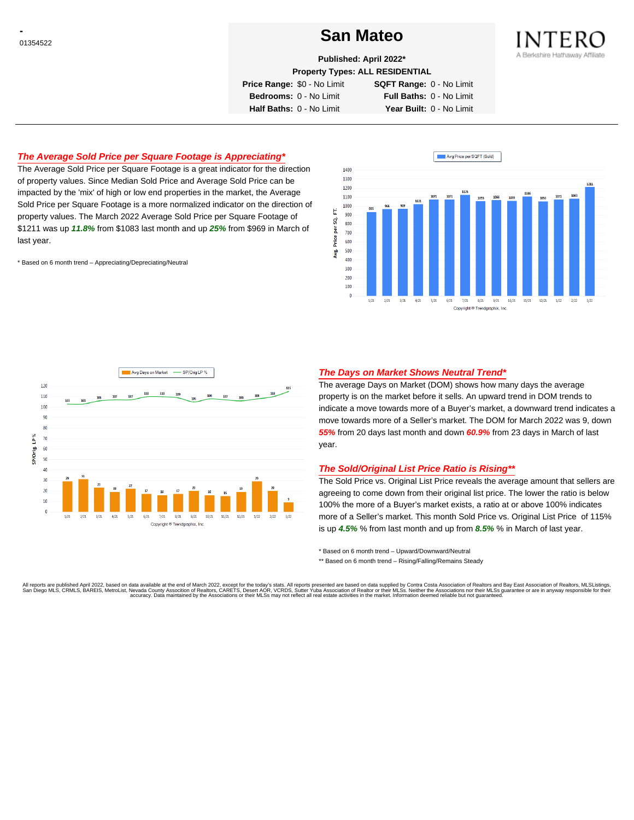# **CONSTRUCTED San Mateo San Mateo**



**Published: April 2022\***

**Property Types: ALL RESIDENTIAL**

**Price Range:** \$0 - No Limit **SQFT Range:** 0 - No Limit

**Bedrooms:** 0 - No Limit **Full Baths:** 0 - No Limit **Half Baths:** 0 - No Limit **Year Built:** 0 - No Limit

# **The Average Sold Price per Square Footage is Appreciating\***

The Average Sold Price per Square Footage is a great indicator for the direction of property values. Since Median Sold Price and Average Sold Price can be impacted by the 'mix' of high or low end properties in the market, the Average Sold Price per Square Footage is a more normalized indicator on the direction of property values. The March 2022 Average Sold Price per Square Footage of \$1211 was up **11.8%** from \$1083 last month and up **25%** from \$969 in March of last year.

\* Based on 6 month trend – Appreciating/Depreciating/Neutral





### **The Days on Market Shows Neutral Trend\***

The average Days on Market (DOM) shows how many days the average property is on the market before it sells. An upward trend in DOM trends to indicate a move towards more of a Buyer's market, a downward trend indicates a move towards more of a Seller's market. The DOM for March 2022 was 9, down **55%** from 20 days last month and down **60.9%** from 23 days in March of last year.

#### **The Sold/Original List Price Ratio is Rising\*\***

The Sold Price vs. Original List Price reveals the average amount that sellers are agreeing to come down from their original list price. The lower the ratio is below 100% the more of a Buyer's market exists, a ratio at or above 100% indicates more of a Seller's market. This month Sold Price vs. Original List Price of 115% is up **4.5%** % from last month and up from **8.5%** % in March of last year.

\* Based on 6 month trend – Upward/Downward/Neutral

\*\* Based on 6 month trend - Rising/Falling/Remains Steady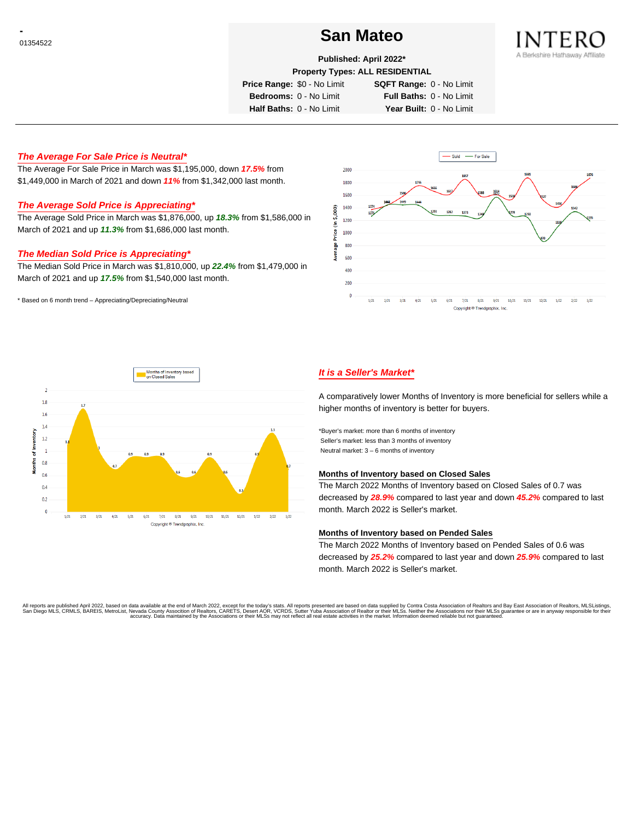# **Constanting to the Contract of the San Mateo** Constanting to the San Mateo



**Published: April 2022\***

**Property Types: ALL RESIDENTIAL**

**Price Range:** \$0 - No Limit **SQFT Range:** 0 - No Limit

**Bedrooms:** 0 - No Limit **Full Baths:** 0 - No Limit **Half Baths:** 0 - No Limit **Year Built:** 0 - No Limit

## **The Average For Sale Price is Neutral\***

The Average For Sale Price in March was \$1,195,000, down **17.5%** from \$1,449,000 in March of 2021 and down **11%** from \$1,342,000 last month.

# **The Average Sold Price is Appreciating\***

The Average Sold Price in March was \$1,876,000, up **18.3%** from \$1,586,000 in March of 2021 and up **11.3%** from \$1,686,000 last month.

### **The Median Sold Price is Appreciating\***

The Median Sold Price in March was \$1,810,000, up **22.4%** from \$1,479,000 in March of 2021 and up **17.5%** from \$1,540,000 last month.

\* Based on 6 month trend – Appreciating/Depreciating/Neutral





# **It is a Seller's Market\***

A comparatively lower Months of Inventory is more beneficial for sellers while a higher months of inventory is better for buyers.

\*Buyer's market: more than 6 months of inventory Seller's market: less than 3 months of inventory Neutral market: 3 – 6 months of inventory

#### **Months of Inventory based on Closed Sales**

The March 2022 Months of Inventory based on Closed Sales of 0.7 was decreased by **28.9%** compared to last year and down **45.2%** compared to last month. March 2022 is Seller's market.

#### **Months of Inventory based on Pended Sales**

The March 2022 Months of Inventory based on Pended Sales of 0.6 was decreased by **25.2%** compared to last year and down **25.9%** compared to last month. March 2022 is Seller's market.